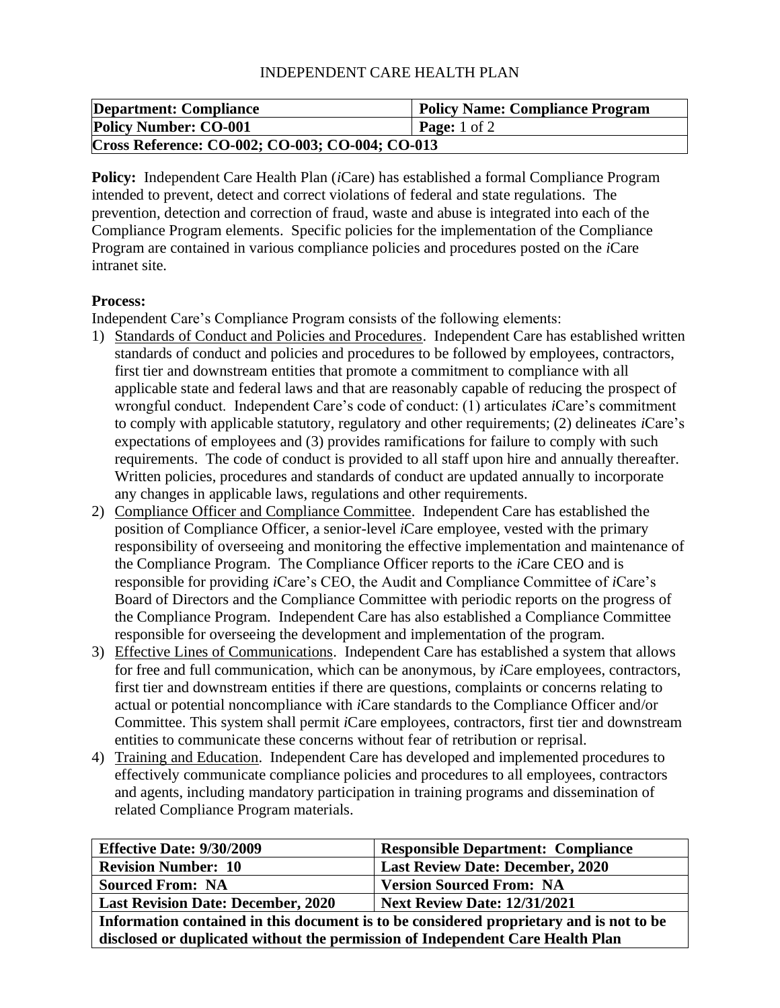## INDEPENDENT CARE HEALTH PLAN

| <b>Department: Compliance</b>                   | <b>Policy Name: Compliance Program</b> |  |
|-------------------------------------------------|----------------------------------------|--|
| <b>Policy Number: CO-001</b>                    | <b>Page:</b> 1 of 2                    |  |
| Cross Reference: CO-002; CO-003; CO-004; CO-013 |                                        |  |

**Policy:** Independent Care Health Plan (*i*Care) has established a formal Compliance Program intended to prevent, detect and correct violations of federal and state regulations. The prevention, detection and correction of fraud, waste and abuse is integrated into each of the Compliance Program elements. Specific policies for the implementation of the Compliance Program are contained in various compliance policies and procedures posted on the *i*Care intranet site.

## **Process:**

Independent Care's Compliance Program consists of the following elements:

- 1) Standards of Conduct and Policies and Procedures. Independent Care has established written standards of conduct and policies and procedures to be followed by employees, contractors, first tier and downstream entities that promote a commitment to compliance with all applicable state and federal laws and that are reasonably capable of reducing the prospect of wrongful conduct. Independent Care's code of conduct: (1) articulates *i*Care's commitment to comply with applicable statutory, regulatory and other requirements; (2) delineates *i*Care's expectations of employees and (3) provides ramifications for failure to comply with such requirements. The code of conduct is provided to all staff upon hire and annually thereafter. Written policies, procedures and standards of conduct are updated annually to incorporate any changes in applicable laws, regulations and other requirements.
- 2) Compliance Officer and Compliance Committee. Independent Care has established the position of Compliance Officer, a senior-level *i*Care employee, vested with the primary responsibility of overseeing and monitoring the effective implementation and maintenance of the Compliance Program. The Compliance Officer reports to the *i*Care CEO and is responsible for providing *i*Care's CEO, the Audit and Compliance Committee of *i*Care's Board of Directors and the Compliance Committee with periodic reports on the progress of the Compliance Program. Independent Care has also established a Compliance Committee responsible for overseeing the development and implementation of the program.
- 3) Effective Lines of Communications. Independent Care has established a system that allows for free and full communication, which can be anonymous, by *i*Care employees, contractors, first tier and downstream entities if there are questions, complaints or concerns relating to actual or potential noncompliance with *i*Care standards to the Compliance Officer and/or Committee. This system shall permit *i*Care employees, contractors, first tier and downstream entities to communicate these concerns without fear of retribution or reprisal.
- 4) Training and Education. Independent Care has developed and implemented procedures to effectively communicate compliance policies and procedures to all employees, contractors and agents, including mandatory participation in training programs and dissemination of related Compliance Program materials.

| <b>Effective Date: 9/30/2009</b>                                                        | <b>Responsible Department: Compliance</b> |  |
|-----------------------------------------------------------------------------------------|-------------------------------------------|--|
| <b>Revision Number: 10</b>                                                              | <b>Last Review Date: December, 2020</b>   |  |
| <b>Sourced From: NA</b>                                                                 | <b>Version Sourced From: NA</b>           |  |
| <b>Last Revision Date: December, 2020</b>                                               | Next Review Date: 12/31/2021              |  |
| Information contained in this document is to be considered proprietary and is not to be |                                           |  |
| disclosed or duplicated without the permission of Independent Care Health Plan          |                                           |  |